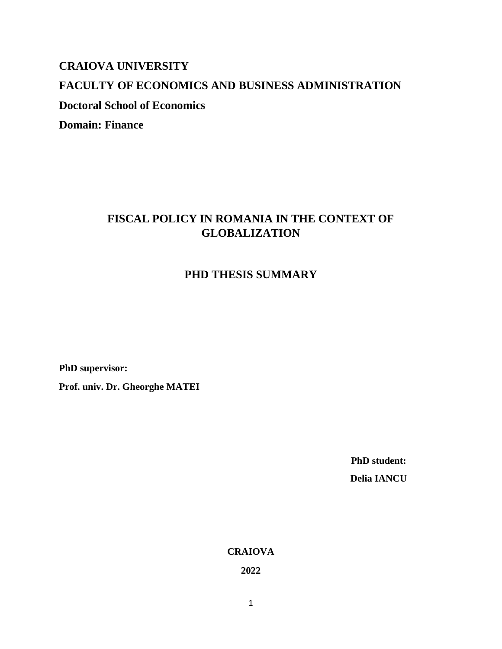## **CRAIOVA UNIVERSITY**

## **FACULTY OF ECONOMICS AND BUSINESS ADMINISTRATION**

**Doctoral School of Economics**

**Domain: Finance**

# **FISCAL POLICY IN ROMANIA IN THE CONTEXT OF GLOBALIZATION**

# **PHD THESIS SUMMARY**

**PhD supervisor:**

**Prof. univ. Dr. Gheorghe MATEI**

 **PhD student:**

 **Delia IANCU**

**CRAIOVA**

**2022**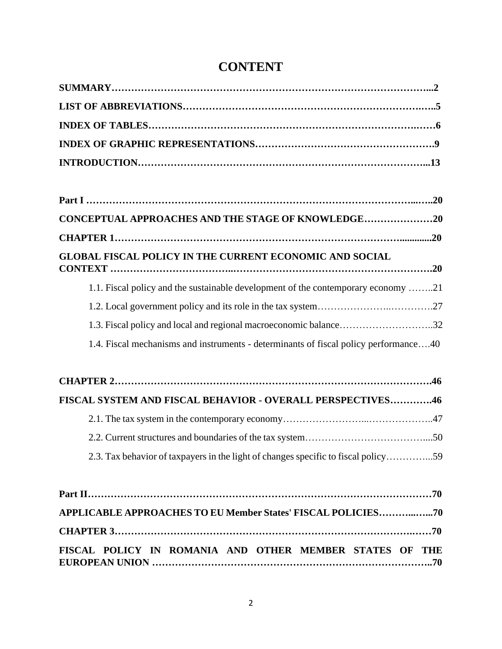# **CONTENT**

| CONCEPTUAL APPROACHES AND THE STAGE OF KNOWLEDGE20                                   |
|--------------------------------------------------------------------------------------|
|                                                                                      |
| <b>GLOBAL FISCAL POLICY IN THE CURRENT ECONOMIC AND SOCIAL</b>                       |
| 1.1. Fiscal policy and the sustainable development of the contemporary economy 21    |
|                                                                                      |
| 1.3. Fiscal policy and local and regional macroeconomic balance32                    |
| 1.4. Fiscal mechanisms and instruments - determinants of fiscal policy performance40 |
|                                                                                      |
| FISCAL SYSTEM AND FISCAL BEHAVIOR - OVERALL PERSPECTIVES46                           |
|                                                                                      |
|                                                                                      |
| 2.3. Tax behavior of taxpayers in the light of changes specific to fiscal policy59   |
|                                                                                      |
| APPLICABLE APPROACHES TO EU Member States' FISCAL POLICIES70                         |
|                                                                                      |
| FISCAL POLICY IN ROMANIA AND OTHER MEMBER STATES OF THE                              |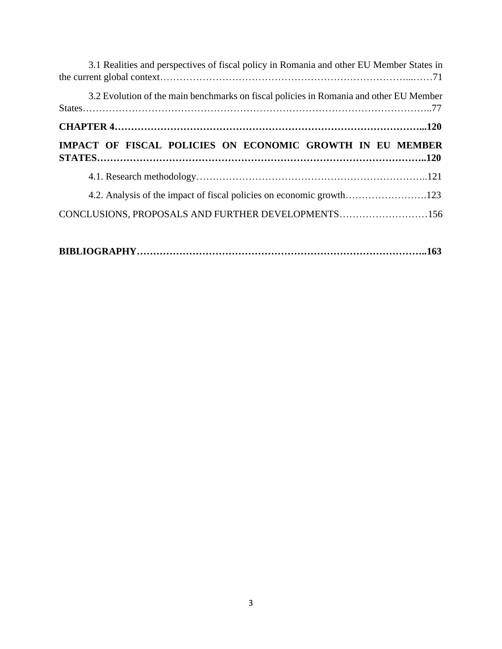| 3.1 Realities and perspectives of fiscal policy in Romania and other EU Member States in |  |
|------------------------------------------------------------------------------------------|--|
| 3.2 Evolution of the main benchmarks on fiscal policies in Romania and other EU Member   |  |
|                                                                                          |  |
| IMPACT OF FISCAL POLICIES ON ECONOMIC GROWTH IN EU MEMBER                                |  |
|                                                                                          |  |
|                                                                                          |  |
| 4.2. Analysis of the impact of fiscal policies on economic growth123                     |  |

|--|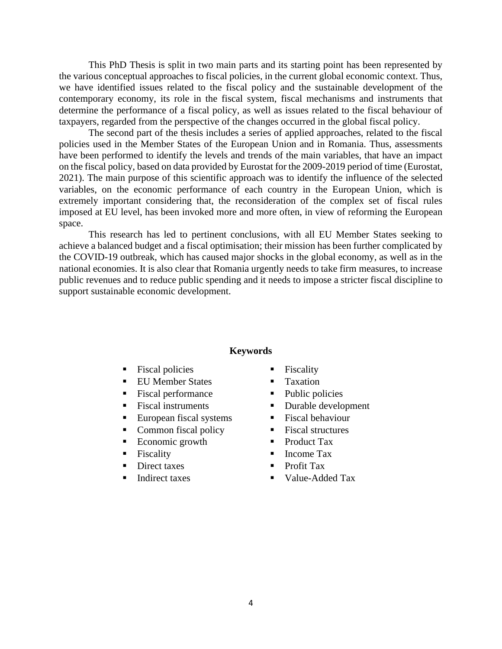This PhD Thesis is split in two main parts and its starting point has been represented by the various conceptual approaches to fiscal policies, in the current global economic context. Thus, we have identified issues related to the fiscal policy and the sustainable development of the contemporary economy, its role in the fiscal system, fiscal mechanisms and instruments that determine the performance of a fiscal policy, as well as issues related to the fiscal behaviour of taxpayers, regarded from the perspective of the changes occurred in the global fiscal policy.

The second part of the thesis includes a series of applied approaches, related to the fiscal policies used in the Member States of the European Union and in Romania. Thus, assessments have been performed to identify the levels and trends of the main variables, that have an impact on the fiscal policy, based on data provided by Eurostat for the 2009-2019 period of time (Eurostat, 2021). The main purpose of this scientific approach was to identify the influence of the selected variables, on the economic performance of each country in the European Union, which is extremely important considering that, the reconsideration of the complex set of fiscal rules imposed at EU level, has been invoked more and more often, in view of reforming the European space.

This research has led to pertinent conclusions, with all EU Member States seeking to achieve a balanced budget and a fiscal optimisation; their mission has been further complicated by the COVID-19 outbreak, which has caused major shocks in the global economy, as well as in the national economies. It is also clear that Romania urgently needs to take firm measures, to increase public revenues and to reduce public spending and it needs to impose a stricter fiscal discipline to support sustainable economic development.

#### **Keywords**

- Fiscal policies
- **EU Member States**
- Fiscal performance
- Fiscal instruments
- European fiscal systems
- Common fiscal policy
- Economic growth
- Fiscality
- Direct taxes
- Indirect taxes
- Fiscality
- **Taxation**
- Public policies
- Durable development
- Fiscal behaviour
- Fiscal structures
- Product Tax
- Income Tax
- Profit Tax
- Value-Added Tax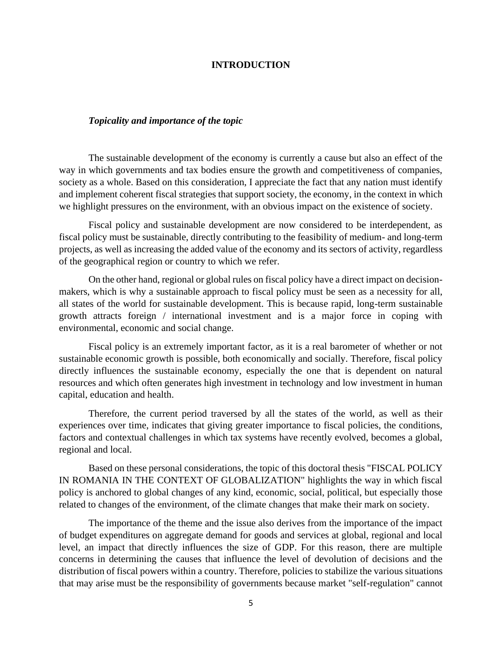### **INTRODUCTION**

## *Topicality and importance of the topic*

The sustainable development of the economy is currently a cause but also an effect of the way in which governments and tax bodies ensure the growth and competitiveness of companies, society as a whole. Based on this consideration, I appreciate the fact that any nation must identify and implement coherent fiscal strategies that support society, the economy, in the context in which we highlight pressures on the environment, with an obvious impact on the existence of society.

Fiscal policy and sustainable development are now considered to be interdependent, as fiscal policy must be sustainable, directly contributing to the feasibility of medium- and long-term projects, as well as increasing the added value of the economy and its sectors of activity, regardless of the geographical region or country to which we refer.

On the other hand, regional or global rules on fiscal policy have a direct impact on decisionmakers, which is why a sustainable approach to fiscal policy must be seen as a necessity for all, all states of the world for sustainable development. This is because rapid, long-term sustainable growth attracts foreign / international investment and is a major force in coping with environmental, economic and social change.

Fiscal policy is an extremely important factor, as it is a real barometer of whether or not sustainable economic growth is possible, both economically and socially. Therefore, fiscal policy directly influences the sustainable economy, especially the one that is dependent on natural resources and which often generates high investment in technology and low investment in human capital, education and health.

Therefore, the current period traversed by all the states of the world, as well as their experiences over time, indicates that giving greater importance to fiscal policies, the conditions, factors and contextual challenges in which tax systems have recently evolved, becomes a global, regional and local.

Based on these personal considerations, the topic of this doctoral thesis "FISCAL POLICY IN ROMANIA IN THE CONTEXT OF GLOBALIZATION" highlights the way in which fiscal policy is anchored to global changes of any kind, economic, social, political, but especially those related to changes of the environment, of the climate changes that make their mark on society.

The importance of the theme and the issue also derives from the importance of the impact of budget expenditures on aggregate demand for goods and services at global, regional and local level, an impact that directly influences the size of GDP. For this reason, there are multiple concerns in determining the causes that influence the level of devolution of decisions and the distribution of fiscal powers within a country. Therefore, policies to stabilize the various situations that may arise must be the responsibility of governments because market "self-regulation" cannot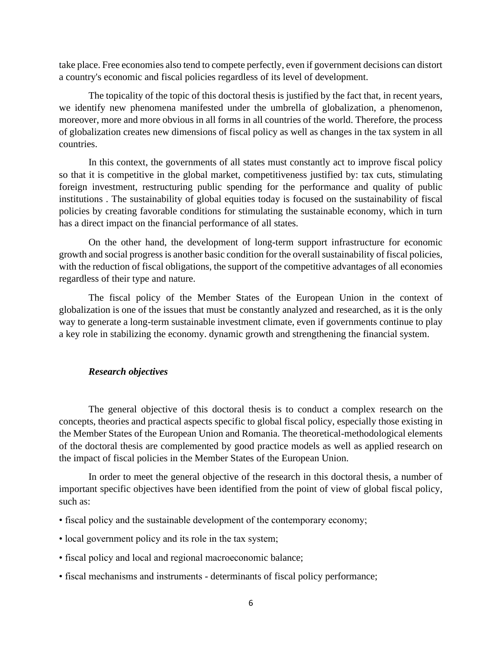take place. Free economies also tend to compete perfectly, even if government decisions can distort a country's economic and fiscal policies regardless of its level of development.

The topicality of the topic of this doctoral thesis is justified by the fact that, in recent years, we identify new phenomena manifested under the umbrella of globalization, a phenomenon, moreover, more and more obvious in all forms in all countries of the world. Therefore, the process of globalization creates new dimensions of fiscal policy as well as changes in the tax system in all countries.

In this context, the governments of all states must constantly act to improve fiscal policy so that it is competitive in the global market, competitiveness justified by: tax cuts, stimulating foreign investment, restructuring public spending for the performance and quality of public institutions . The sustainability of global equities today is focused on the sustainability of fiscal policies by creating favorable conditions for stimulating the sustainable economy, which in turn has a direct impact on the financial performance of all states.

On the other hand, the development of long-term support infrastructure for economic growth and social progress is another basic condition for the overall sustainability of fiscal policies, with the reduction of fiscal obligations, the support of the competitive advantages of all economies regardless of their type and nature.

The fiscal policy of the Member States of the European Union in the context of globalization is one of the issues that must be constantly analyzed and researched, as it is the only way to generate a long-term sustainable investment climate, even if governments continue to play a key role in stabilizing the economy. dynamic growth and strengthening the financial system.

## *Research objectives*

The general objective of this doctoral thesis is to conduct a complex research on the concepts, theories and practical aspects specific to global fiscal policy, especially those existing in the Member States of the European Union and Romania. The theoretical-methodological elements of the doctoral thesis are complemented by good practice models as well as applied research on the impact of fiscal policies in the Member States of the European Union.

In order to meet the general objective of the research in this doctoral thesis, a number of important specific objectives have been identified from the point of view of global fiscal policy, such as:

- fiscal policy and the sustainable development of the contemporary economy;
- local government policy and its role in the tax system;
- fiscal policy and local and regional macroeconomic balance;
- fiscal mechanisms and instruments determinants of fiscal policy performance;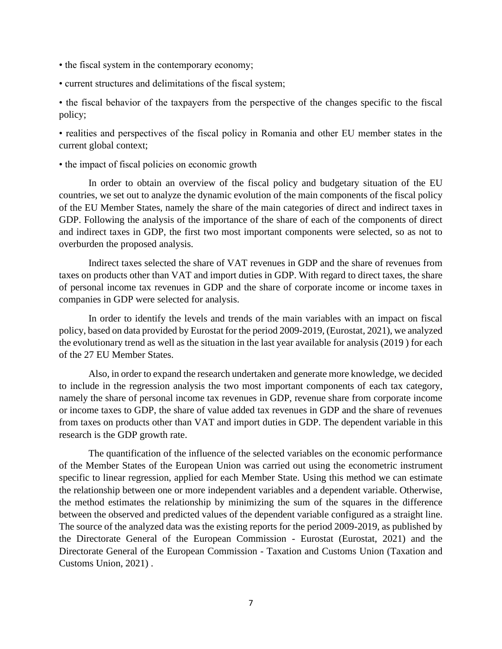- the fiscal system in the contemporary economy;
- current structures and delimitations of the fiscal system;

• the fiscal behavior of the taxpayers from the perspective of the changes specific to the fiscal policy;

• realities and perspectives of the fiscal policy in Romania and other EU member states in the current global context;

• the impact of fiscal policies on economic growth

In order to obtain an overview of the fiscal policy and budgetary situation of the EU countries, we set out to analyze the dynamic evolution of the main components of the fiscal policy of the EU Member States, namely the share of the main categories of direct and indirect taxes in GDP. Following the analysis of the importance of the share of each of the components of direct and indirect taxes in GDP, the first two most important components were selected, so as not to overburden the proposed analysis.

Indirect taxes selected the share of VAT revenues in GDP and the share of revenues from taxes on products other than VAT and import duties in GDP. With regard to direct taxes, the share of personal income tax revenues in GDP and the share of corporate income or income taxes in companies in GDP were selected for analysis.

In order to identify the levels and trends of the main variables with an impact on fiscal policy, based on data provided by Eurostat for the period 2009-2019, (Eurostat, 2021), we analyzed the evolutionary trend as well as the situation in the last year available for analysis (2019 ) for each of the 27 EU Member States.

Also, in order to expand the research undertaken and generate more knowledge, we decided to include in the regression analysis the two most important components of each tax category, namely the share of personal income tax revenues in GDP, revenue share from corporate income or income taxes to GDP, the share of value added tax revenues in GDP and the share of revenues from taxes on products other than VAT and import duties in GDP. The dependent variable in this research is the GDP growth rate.

The quantification of the influence of the selected variables on the economic performance of the Member States of the European Union was carried out using the econometric instrument specific to linear regression, applied for each Member State. Using this method we can estimate the relationship between one or more independent variables and a dependent variable. Otherwise, the method estimates the relationship by minimizing the sum of the squares in the difference between the observed and predicted values of the dependent variable configured as a straight line. The source of the analyzed data was the existing reports for the period 2009-2019, as published by the Directorate General of the European Commission - Eurostat (Eurostat, 2021) and the Directorate General of the European Commission - Taxation and Customs Union (Taxation and Customs Union, 2021) .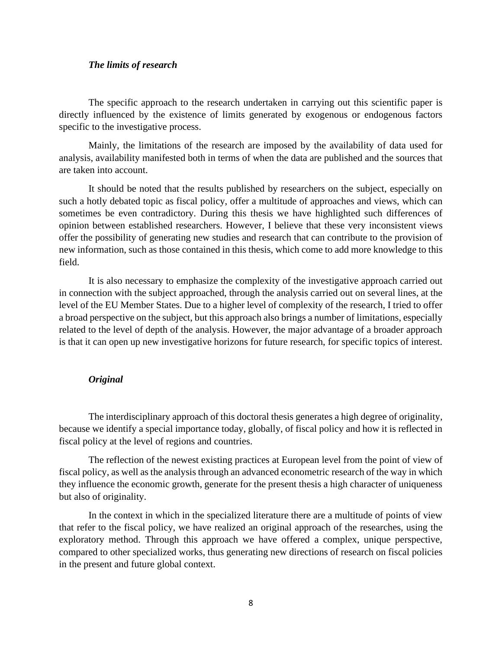## *The limits of research*

The specific approach to the research undertaken in carrying out this scientific paper is directly influenced by the existence of limits generated by exogenous or endogenous factors specific to the investigative process.

Mainly, the limitations of the research are imposed by the availability of data used for analysis, availability manifested both in terms of when the data are published and the sources that are taken into account.

It should be noted that the results published by researchers on the subject, especially on such a hotly debated topic as fiscal policy, offer a multitude of approaches and views, which can sometimes be even contradictory. During this thesis we have highlighted such differences of opinion between established researchers. However, I believe that these very inconsistent views offer the possibility of generating new studies and research that can contribute to the provision of new information, such as those contained in this thesis, which come to add more knowledge to this field.

It is also necessary to emphasize the complexity of the investigative approach carried out in connection with the subject approached, through the analysis carried out on several lines, at the level of the EU Member States. Due to a higher level of complexity of the research, I tried to offer a broad perspective on the subject, but this approach also brings a number of limitations, especially related to the level of depth of the analysis. However, the major advantage of a broader approach is that it can open up new investigative horizons for future research, for specific topics of interest.

## *Original*

The interdisciplinary approach of this doctoral thesis generates a high degree of originality, because we identify a special importance today, globally, of fiscal policy and how it is reflected in fiscal policy at the level of regions and countries.

The reflection of the newest existing practices at European level from the point of view of fiscal policy, as well as the analysis through an advanced econometric research of the way in which they influence the economic growth, generate for the present thesis a high character of uniqueness but also of originality.

In the context in which in the specialized literature there are a multitude of points of view that refer to the fiscal policy, we have realized an original approach of the researches, using the exploratory method. Through this approach we have offered a complex, unique perspective, compared to other specialized works, thus generating new directions of research on fiscal policies in the present and future global context.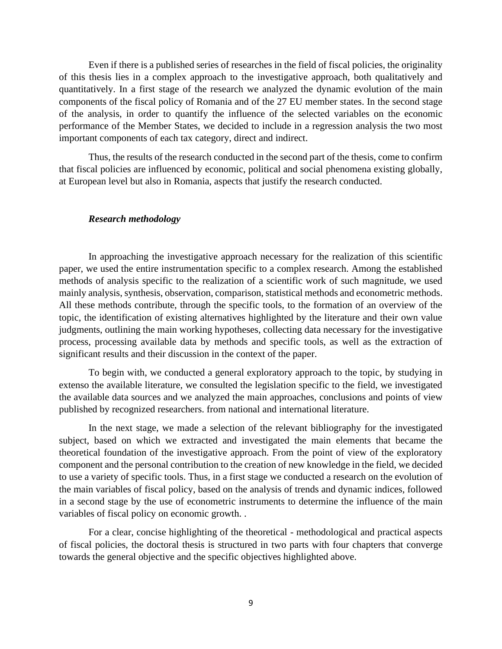Even if there is a published series of researches in the field of fiscal policies, the originality of this thesis lies in a complex approach to the investigative approach, both qualitatively and quantitatively. In a first stage of the research we analyzed the dynamic evolution of the main components of the fiscal policy of Romania and of the 27 EU member states. In the second stage of the analysis, in order to quantify the influence of the selected variables on the economic performance of the Member States, we decided to include in a regression analysis the two most important components of each tax category, direct and indirect.

Thus, the results of the research conducted in the second part of the thesis, come to confirm that fiscal policies are influenced by economic, political and social phenomena existing globally, at European level but also in Romania, aspects that justify the research conducted.

#### *Research methodology*

In approaching the investigative approach necessary for the realization of this scientific paper, we used the entire instrumentation specific to a complex research. Among the established methods of analysis specific to the realization of a scientific work of such magnitude, we used mainly analysis, synthesis, observation, comparison, statistical methods and econometric methods. All these methods contribute, through the specific tools, to the formation of an overview of the topic, the identification of existing alternatives highlighted by the literature and their own value judgments, outlining the main working hypotheses, collecting data necessary for the investigative process, processing available data by methods and specific tools, as well as the extraction of significant results and their discussion in the context of the paper.

To begin with, we conducted a general exploratory approach to the topic, by studying in extenso the available literature, we consulted the legislation specific to the field, we investigated the available data sources and we analyzed the main approaches, conclusions and points of view published by recognized researchers. from national and international literature.

In the next stage, we made a selection of the relevant bibliography for the investigated subject, based on which we extracted and investigated the main elements that became the theoretical foundation of the investigative approach. From the point of view of the exploratory component and the personal contribution to the creation of new knowledge in the field, we decided to use a variety of specific tools. Thus, in a first stage we conducted a research on the evolution of the main variables of fiscal policy, based on the analysis of trends and dynamic indices, followed in a second stage by the use of econometric instruments to determine the influence of the main variables of fiscal policy on economic growth. .

For a clear, concise highlighting of the theoretical - methodological and practical aspects of fiscal policies, the doctoral thesis is structured in two parts with four chapters that converge towards the general objective and the specific objectives highlighted above.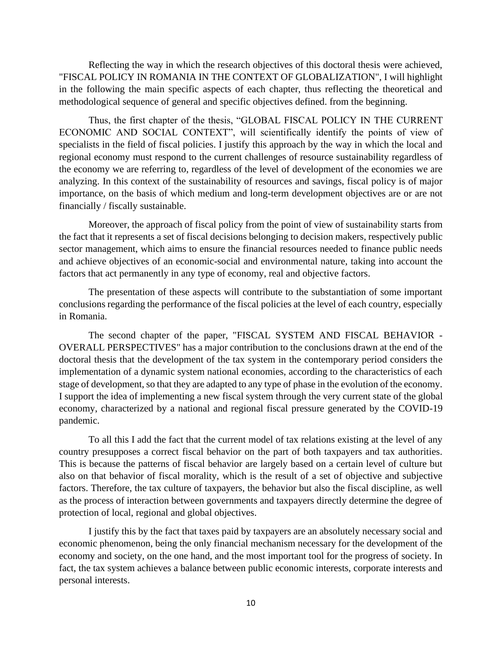Reflecting the way in which the research objectives of this doctoral thesis were achieved, "FISCAL POLICY IN ROMANIA IN THE CONTEXT OF GLOBALIZATION", I will highlight in the following the main specific aspects of each chapter, thus reflecting the theoretical and methodological sequence of general and specific objectives defined. from the beginning.

Thus, the first chapter of the thesis, "GLOBAL FISCAL POLICY IN THE CURRENT ECONOMIC AND SOCIAL CONTEXT", will scientifically identify the points of view of specialists in the field of fiscal policies. I justify this approach by the way in which the local and regional economy must respond to the current challenges of resource sustainability regardless of the economy we are referring to, regardless of the level of development of the economies we are analyzing. In this context of the sustainability of resources and savings, fiscal policy is of major importance, on the basis of which medium and long-term development objectives are or are not financially / fiscally sustainable.

Moreover, the approach of fiscal policy from the point of view of sustainability starts from the fact that it represents a set of fiscal decisions belonging to decision makers, respectively public sector management, which aims to ensure the financial resources needed to finance public needs and achieve objectives of an economic-social and environmental nature, taking into account the factors that act permanently in any type of economy, real and objective factors.

The presentation of these aspects will contribute to the substantiation of some important conclusions regarding the performance of the fiscal policies at the level of each country, especially in Romania.

The second chapter of the paper, "FISCAL SYSTEM AND FISCAL BEHAVIOR - OVERALL PERSPECTIVES" has a major contribution to the conclusions drawn at the end of the doctoral thesis that the development of the tax system in the contemporary period considers the implementation of a dynamic system national economies, according to the characteristics of each stage of development, so that they are adapted to any type of phase in the evolution of the economy. I support the idea of implementing a new fiscal system through the very current state of the global economy, characterized by a national and regional fiscal pressure generated by the COVID-19 pandemic.

To all this I add the fact that the current model of tax relations existing at the level of any country presupposes a correct fiscal behavior on the part of both taxpayers and tax authorities. This is because the patterns of fiscal behavior are largely based on a certain level of culture but also on that behavior of fiscal morality, which is the result of a set of objective and subjective factors. Therefore, the tax culture of taxpayers, the behavior but also the fiscal discipline, as well as the process of interaction between governments and taxpayers directly determine the degree of protection of local, regional and global objectives.

I justify this by the fact that taxes paid by taxpayers are an absolutely necessary social and economic phenomenon, being the only financial mechanism necessary for the development of the economy and society, on the one hand, and the most important tool for the progress of society. In fact, the tax system achieves a balance between public economic interests, corporate interests and personal interests.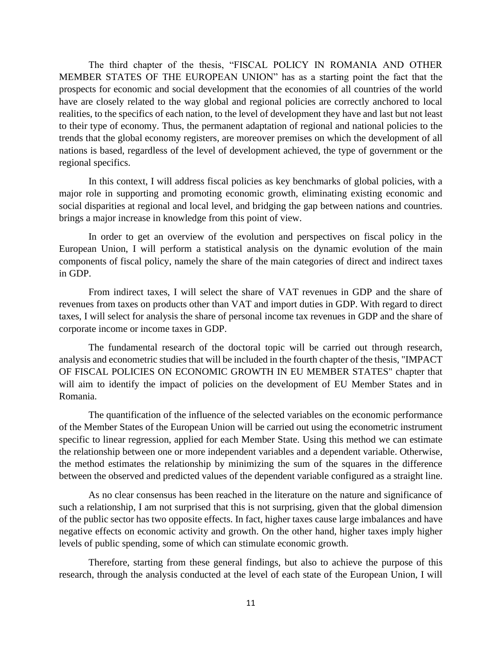The third chapter of the thesis, "FISCAL POLICY IN ROMANIA AND OTHER MEMBER STATES OF THE EUROPEAN UNION" has as a starting point the fact that the prospects for economic and social development that the economies of all countries of the world have are closely related to the way global and regional policies are correctly anchored to local realities, to the specifics of each nation, to the level of development they have and last but not least to their type of economy. Thus, the permanent adaptation of regional and national policies to the trends that the global economy registers, are moreover premises on which the development of all nations is based, regardless of the level of development achieved, the type of government or the regional specifics.

In this context, I will address fiscal policies as key benchmarks of global policies, with a major role in supporting and promoting economic growth, eliminating existing economic and social disparities at regional and local level, and bridging the gap between nations and countries. brings a major increase in knowledge from this point of view.

In order to get an overview of the evolution and perspectives on fiscal policy in the European Union, I will perform a statistical analysis on the dynamic evolution of the main components of fiscal policy, namely the share of the main categories of direct and indirect taxes in GDP.

From indirect taxes, I will select the share of VAT revenues in GDP and the share of revenues from taxes on products other than VAT and import duties in GDP. With regard to direct taxes, I will select for analysis the share of personal income tax revenues in GDP and the share of corporate income or income taxes in GDP.

The fundamental research of the doctoral topic will be carried out through research, analysis and econometric studies that will be included in the fourth chapter of the thesis, "IMPACT OF FISCAL POLICIES ON ECONOMIC GROWTH IN EU MEMBER STATES" chapter that will aim to identify the impact of policies on the development of EU Member States and in Romania.

The quantification of the influence of the selected variables on the economic performance of the Member States of the European Union will be carried out using the econometric instrument specific to linear regression, applied for each Member State. Using this method we can estimate the relationship between one or more independent variables and a dependent variable. Otherwise, the method estimates the relationship by minimizing the sum of the squares in the difference between the observed and predicted values of the dependent variable configured as a straight line.

As no clear consensus has been reached in the literature on the nature and significance of such a relationship, I am not surprised that this is not surprising, given that the global dimension of the public sector has two opposite effects. In fact, higher taxes cause large imbalances and have negative effects on economic activity and growth. On the other hand, higher taxes imply higher levels of public spending, some of which can stimulate economic growth.

Therefore, starting from these general findings, but also to achieve the purpose of this research, through the analysis conducted at the level of each state of the European Union, I will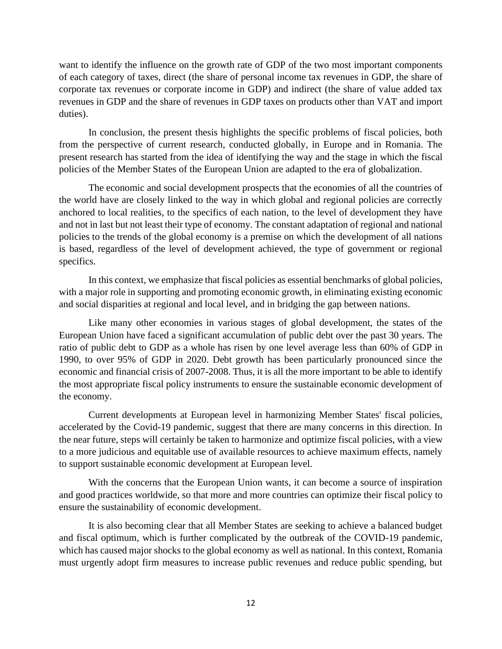want to identify the influence on the growth rate of GDP of the two most important components of each category of taxes, direct (the share of personal income tax revenues in GDP, the share of corporate tax revenues or corporate income in GDP) and indirect (the share of value added tax revenues in GDP and the share of revenues in GDP taxes on products other than VAT and import duties).

In conclusion, the present thesis highlights the specific problems of fiscal policies, both from the perspective of current research, conducted globally, in Europe and in Romania. The present research has started from the idea of identifying the way and the stage in which the fiscal policies of the Member States of the European Union are adapted to the era of globalization.

The economic and social development prospects that the economies of all the countries of the world have are closely linked to the way in which global and regional policies are correctly anchored to local realities, to the specifics of each nation, to the level of development they have and not in last but not least their type of economy. The constant adaptation of regional and national policies to the trends of the global economy is a premise on which the development of all nations is based, regardless of the level of development achieved, the type of government or regional specifics.

In this context, we emphasize that fiscal policies as essential benchmarks of global policies, with a major role in supporting and promoting economic growth, in eliminating existing economic and social disparities at regional and local level, and in bridging the gap between nations.

Like many other economies in various stages of global development, the states of the European Union have faced a significant accumulation of public debt over the past 30 years. The ratio of public debt to GDP as a whole has risen by one level average less than 60% of GDP in 1990, to over 95% of GDP in 2020. Debt growth has been particularly pronounced since the economic and financial crisis of 2007-2008. Thus, it is all the more important to be able to identify the most appropriate fiscal policy instruments to ensure the sustainable economic development of the economy.

Current developments at European level in harmonizing Member States' fiscal policies, accelerated by the Covid-19 pandemic, suggest that there are many concerns in this direction. In the near future, steps will certainly be taken to harmonize and optimize fiscal policies, with a view to a more judicious and equitable use of available resources to achieve maximum effects, namely to support sustainable economic development at European level.

With the concerns that the European Union wants, it can become a source of inspiration and good practices worldwide, so that more and more countries can optimize their fiscal policy to ensure the sustainability of economic development.

It is also becoming clear that all Member States are seeking to achieve a balanced budget and fiscal optimum, which is further complicated by the outbreak of the COVID-19 pandemic, which has caused major shocks to the global economy as well as national. In this context, Romania must urgently adopt firm measures to increase public revenues and reduce public spending, but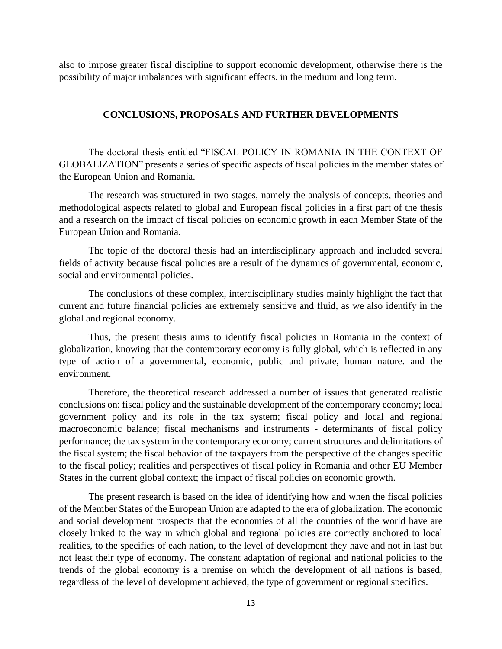also to impose greater fiscal discipline to support economic development, otherwise there is the possibility of major imbalances with significant effects. in the medium and long term.

### **CONCLUSIONS, PROPOSALS AND FURTHER DEVELOPMENTS**

The doctoral thesis entitled "FISCAL POLICY IN ROMANIA IN THE CONTEXT OF GLOBALIZATION" presents a series of specific aspects of fiscal policies in the member states of the European Union and Romania.

The research was structured in two stages, namely the analysis of concepts, theories and methodological aspects related to global and European fiscal policies in a first part of the thesis and a research on the impact of fiscal policies on economic growth in each Member State of the European Union and Romania.

The topic of the doctoral thesis had an interdisciplinary approach and included several fields of activity because fiscal policies are a result of the dynamics of governmental, economic, social and environmental policies.

The conclusions of these complex, interdisciplinary studies mainly highlight the fact that current and future financial policies are extremely sensitive and fluid, as we also identify in the global and regional economy.

Thus, the present thesis aims to identify fiscal policies in Romania in the context of globalization, knowing that the contemporary economy is fully global, which is reflected in any type of action of a governmental, economic, public and private, human nature. and the environment.

Therefore, the theoretical research addressed a number of issues that generated realistic conclusions on: fiscal policy and the sustainable development of the contemporary economy; local government policy and its role in the tax system; fiscal policy and local and regional macroeconomic balance; fiscal mechanisms and instruments - determinants of fiscal policy performance; the tax system in the contemporary economy; current structures and delimitations of the fiscal system; the fiscal behavior of the taxpayers from the perspective of the changes specific to the fiscal policy; realities and perspectives of fiscal policy in Romania and other EU Member States in the current global context; the impact of fiscal policies on economic growth.

The present research is based on the idea of identifying how and when the fiscal policies of the Member States of the European Union are adapted to the era of globalization. The economic and social development prospects that the economies of all the countries of the world have are closely linked to the way in which global and regional policies are correctly anchored to local realities, to the specifics of each nation, to the level of development they have and not in last but not least their type of economy. The constant adaptation of regional and national policies to the trends of the global economy is a premise on which the development of all nations is based, regardless of the level of development achieved, the type of government or regional specifics.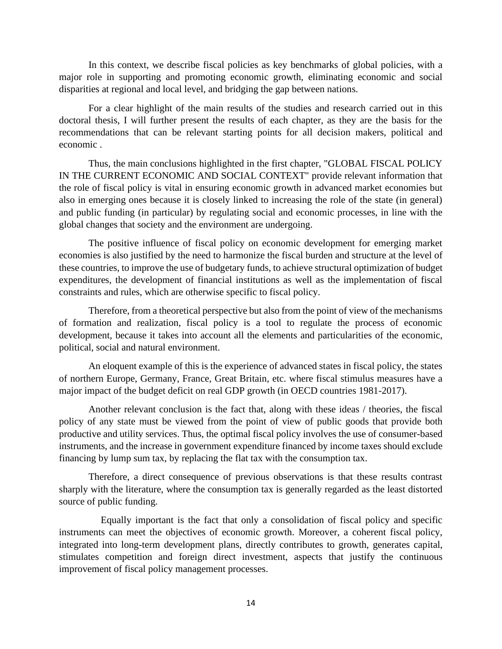In this context, we describe fiscal policies as key benchmarks of global policies, with a major role in supporting and promoting economic growth, eliminating economic and social disparities at regional and local level, and bridging the gap between nations.

For a clear highlight of the main results of the studies and research carried out in this doctoral thesis, I will further present the results of each chapter, as they are the basis for the recommendations that can be relevant starting points for all decision makers, political and economic .

Thus, the main conclusions highlighted in the first chapter, "GLOBAL FISCAL POLICY IN THE CURRENT ECONOMIC AND SOCIAL CONTEXT" provide relevant information that the role of fiscal policy is vital in ensuring economic growth in advanced market economies but also in emerging ones because it is closely linked to increasing the role of the state (in general) and public funding (in particular) by regulating social and economic processes, in line with the global changes that society and the environment are undergoing.

The positive influence of fiscal policy on economic development for emerging market economies is also justified by the need to harmonize the fiscal burden and structure at the level of these countries, to improve the use of budgetary funds, to achieve structural optimization of budget expenditures, the development of financial institutions as well as the implementation of fiscal constraints and rules, which are otherwise specific to fiscal policy.

Therefore, from a theoretical perspective but also from the point of view of the mechanisms of formation and realization, fiscal policy is a tool to regulate the process of economic development, because it takes into account all the elements and particularities of the economic, political, social and natural environment.

An eloquent example of this is the experience of advanced states in fiscal policy, the states of northern Europe, Germany, France, Great Britain, etc. where fiscal stimulus measures have a major impact of the budget deficit on real GDP growth (in OECD countries 1981-2017).

Another relevant conclusion is the fact that, along with these ideas / theories, the fiscal policy of any state must be viewed from the point of view of public goods that provide both productive and utility services. Thus, the optimal fiscal policy involves the use of consumer-based instruments, and the increase in government expenditure financed by income taxes should exclude financing by lump sum tax, by replacing the flat tax with the consumption tax.

Therefore, a direct consequence of previous observations is that these results contrast sharply with the literature, where the consumption tax is generally regarded as the least distorted source of public funding.

 Equally important is the fact that only a consolidation of fiscal policy and specific instruments can meet the objectives of economic growth. Moreover, a coherent fiscal policy, integrated into long-term development plans, directly contributes to growth, generates capital, stimulates competition and foreign direct investment, aspects that justify the continuous improvement of fiscal policy management processes.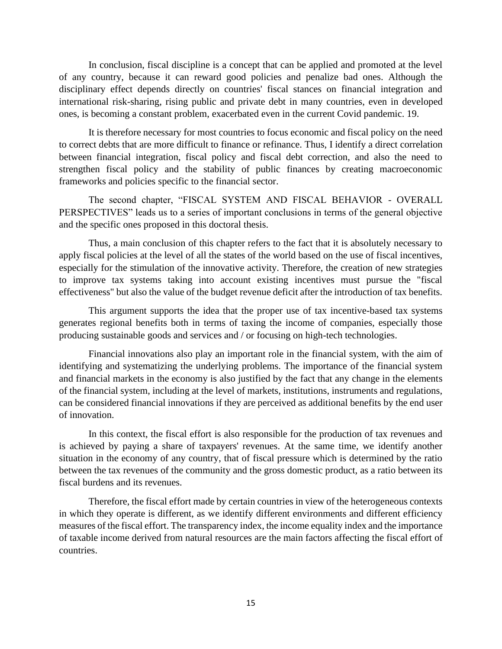In conclusion, fiscal discipline is a concept that can be applied and promoted at the level of any country, because it can reward good policies and penalize bad ones. Although the disciplinary effect depends directly on countries' fiscal stances on financial integration and international risk-sharing, rising public and private debt in many countries, even in developed ones, is becoming a constant problem, exacerbated even in the current Covid pandemic. 19.

It is therefore necessary for most countries to focus economic and fiscal policy on the need to correct debts that are more difficult to finance or refinance. Thus, I identify a direct correlation between financial integration, fiscal policy and fiscal debt correction, and also the need to strengthen fiscal policy and the stability of public finances by creating macroeconomic frameworks and policies specific to the financial sector.

The second chapter, "FISCAL SYSTEM AND FISCAL BEHAVIOR - OVERALL PERSPECTIVES" leads us to a series of important conclusions in terms of the general objective and the specific ones proposed in this doctoral thesis.

Thus, a main conclusion of this chapter refers to the fact that it is absolutely necessary to apply fiscal policies at the level of all the states of the world based on the use of fiscal incentives, especially for the stimulation of the innovative activity. Therefore, the creation of new strategies to improve tax systems taking into account existing incentives must pursue the "fiscal effectiveness" but also the value of the budget revenue deficit after the introduction of tax benefits.

This argument supports the idea that the proper use of tax incentive-based tax systems generates regional benefits both in terms of taxing the income of companies, especially those producing sustainable goods and services and / or focusing on high-tech technologies.

Financial innovations also play an important role in the financial system, with the aim of identifying and systematizing the underlying problems. The importance of the financial system and financial markets in the economy is also justified by the fact that any change in the elements of the financial system, including at the level of markets, institutions, instruments and regulations, can be considered financial innovations if they are perceived as additional benefits by the end user of innovation.

In this context, the fiscal effort is also responsible for the production of tax revenues and is achieved by paying a share of taxpayers' revenues. At the same time, we identify another situation in the economy of any country, that of fiscal pressure which is determined by the ratio between the tax revenues of the community and the gross domestic product, as a ratio between its fiscal burdens and its revenues.

Therefore, the fiscal effort made by certain countries in view of the heterogeneous contexts in which they operate is different, as we identify different environments and different efficiency measures of the fiscal effort. The transparency index, the income equality index and the importance of taxable income derived from natural resources are the main factors affecting the fiscal effort of countries.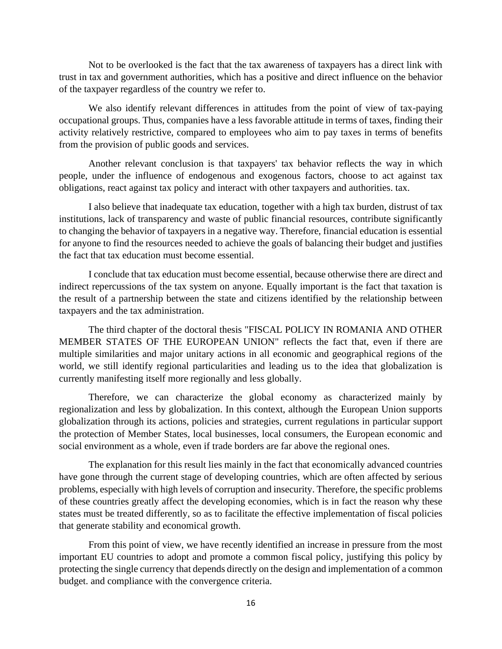Not to be overlooked is the fact that the tax awareness of taxpayers has a direct link with trust in tax and government authorities, which has a positive and direct influence on the behavior of the taxpayer regardless of the country we refer to.

We also identify relevant differences in attitudes from the point of view of tax-paying occupational groups. Thus, companies have a less favorable attitude in terms of taxes, finding their activity relatively restrictive, compared to employees who aim to pay taxes in terms of benefits from the provision of public goods and services.

Another relevant conclusion is that taxpayers' tax behavior reflects the way in which people, under the influence of endogenous and exogenous factors, choose to act against tax obligations, react against tax policy and interact with other taxpayers and authorities. tax.

I also believe that inadequate tax education, together with a high tax burden, distrust of tax institutions, lack of transparency and waste of public financial resources, contribute significantly to changing the behavior of taxpayers in a negative way. Therefore, financial education is essential for anyone to find the resources needed to achieve the goals of balancing their budget and justifies the fact that tax education must become essential.

I conclude that tax education must become essential, because otherwise there are direct and indirect repercussions of the tax system on anyone. Equally important is the fact that taxation is the result of a partnership between the state and citizens identified by the relationship between taxpayers and the tax administration.

The third chapter of the doctoral thesis "FISCAL POLICY IN ROMANIA AND OTHER MEMBER STATES OF THE EUROPEAN UNION" reflects the fact that, even if there are multiple similarities and major unitary actions in all economic and geographical regions of the world, we still identify regional particularities and leading us to the idea that globalization is currently manifesting itself more regionally and less globally.

Therefore, we can characterize the global economy as characterized mainly by regionalization and less by globalization. In this context, although the European Union supports globalization through its actions, policies and strategies, current regulations in particular support the protection of Member States, local businesses, local consumers, the European economic and social environment as a whole, even if trade borders are far above the regional ones.

The explanation for this result lies mainly in the fact that economically advanced countries have gone through the current stage of developing countries, which are often affected by serious problems, especially with high levels of corruption and insecurity. Therefore, the specific problems of these countries greatly affect the developing economies, which is in fact the reason why these states must be treated differently, so as to facilitate the effective implementation of fiscal policies that generate stability and economical growth.

From this point of view, we have recently identified an increase in pressure from the most important EU countries to adopt and promote a common fiscal policy, justifying this policy by protecting the single currency that depends directly on the design and implementation of a common budget. and compliance with the convergence criteria.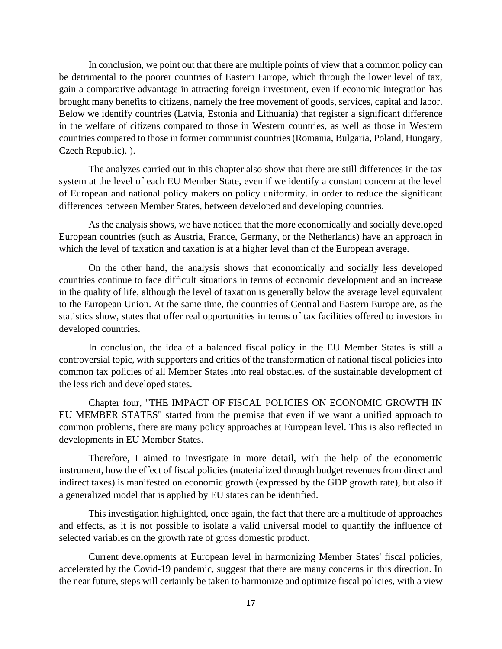In conclusion, we point out that there are multiple points of view that a common policy can be detrimental to the poorer countries of Eastern Europe, which through the lower level of tax, gain a comparative advantage in attracting foreign investment, even if economic integration has brought many benefits to citizens, namely the free movement of goods, services, capital and labor. Below we identify countries (Latvia, Estonia and Lithuania) that register a significant difference in the welfare of citizens compared to those in Western countries, as well as those in Western countries compared to those in former communist countries (Romania, Bulgaria, Poland, Hungary, Czech Republic). ).

The analyzes carried out in this chapter also show that there are still differences in the tax system at the level of each EU Member State, even if we identify a constant concern at the level of European and national policy makers on policy uniformity. in order to reduce the significant differences between Member States, between developed and developing countries.

As the analysis shows, we have noticed that the more economically and socially developed European countries (such as Austria, France, Germany, or the Netherlands) have an approach in which the level of taxation and taxation is at a higher level than of the European average.

On the other hand, the analysis shows that economically and socially less developed countries continue to face difficult situations in terms of economic development and an increase in the quality of life, although the level of taxation is generally below the average level equivalent to the European Union. At the same time, the countries of Central and Eastern Europe are, as the statistics show, states that offer real opportunities in terms of tax facilities offered to investors in developed countries.

In conclusion, the idea of a balanced fiscal policy in the EU Member States is still a controversial topic, with supporters and critics of the transformation of national fiscal policies into common tax policies of all Member States into real obstacles. of the sustainable development of the less rich and developed states.

Chapter four, "THE IMPACT OF FISCAL POLICIES ON ECONOMIC GROWTH IN EU MEMBER STATES" started from the premise that even if we want a unified approach to common problems, there are many policy approaches at European level. This is also reflected in developments in EU Member States.

Therefore, I aimed to investigate in more detail, with the help of the econometric instrument, how the effect of fiscal policies (materialized through budget revenues from direct and indirect taxes) is manifested on economic growth (expressed by the GDP growth rate), but also if a generalized model that is applied by EU states can be identified.

This investigation highlighted, once again, the fact that there are a multitude of approaches and effects, as it is not possible to isolate a valid universal model to quantify the influence of selected variables on the growth rate of gross domestic product.

Current developments at European level in harmonizing Member States' fiscal policies, accelerated by the Covid-19 pandemic, suggest that there are many concerns in this direction. In the near future, steps will certainly be taken to harmonize and optimize fiscal policies, with a view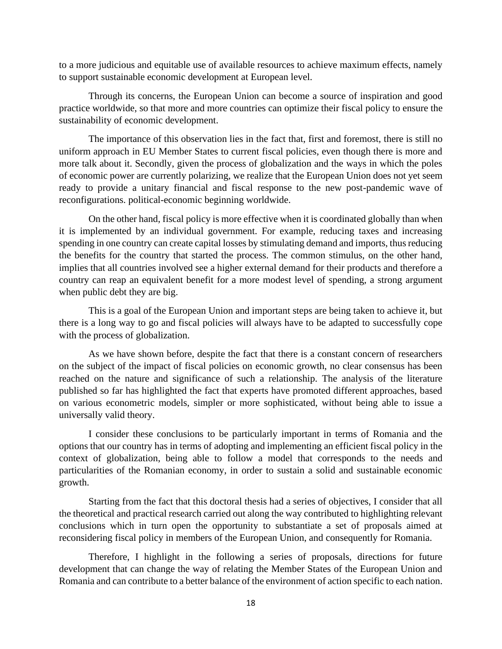to a more judicious and equitable use of available resources to achieve maximum effects, namely to support sustainable economic development at European level.

Through its concerns, the European Union can become a source of inspiration and good practice worldwide, so that more and more countries can optimize their fiscal policy to ensure the sustainability of economic development.

The importance of this observation lies in the fact that, first and foremost, there is still no uniform approach in EU Member States to current fiscal policies, even though there is more and more talk about it. Secondly, given the process of globalization and the ways in which the poles of economic power are currently polarizing, we realize that the European Union does not yet seem ready to provide a unitary financial and fiscal response to the new post-pandemic wave of reconfigurations. political-economic beginning worldwide.

On the other hand, fiscal policy is more effective when it is coordinated globally than when it is implemented by an individual government. For example, reducing taxes and increasing spending in one country can create capital losses by stimulating demand and imports, thus reducing the benefits for the country that started the process. The common stimulus, on the other hand, implies that all countries involved see a higher external demand for their products and therefore a country can reap an equivalent benefit for a more modest level of spending, a strong argument when public debt they are big.

This is a goal of the European Union and important steps are being taken to achieve it, but there is a long way to go and fiscal policies will always have to be adapted to successfully cope with the process of globalization.

As we have shown before, despite the fact that there is a constant concern of researchers on the subject of the impact of fiscal policies on economic growth, no clear consensus has been reached on the nature and significance of such a relationship. The analysis of the literature published so far has highlighted the fact that experts have promoted different approaches, based on various econometric models, simpler or more sophisticated, without being able to issue a universally valid theory.

I consider these conclusions to be particularly important in terms of Romania and the options that our country has in terms of adopting and implementing an efficient fiscal policy in the context of globalization, being able to follow a model that corresponds to the needs and particularities of the Romanian economy, in order to sustain a solid and sustainable economic growth.

Starting from the fact that this doctoral thesis had a series of objectives, I consider that all the theoretical and practical research carried out along the way contributed to highlighting relevant conclusions which in turn open the opportunity to substantiate a set of proposals aimed at reconsidering fiscal policy in members of the European Union, and consequently for Romania.

Therefore, I highlight in the following a series of proposals, directions for future development that can change the way of relating the Member States of the European Union and Romania and can contribute to a better balance of the environment of action specific to each nation.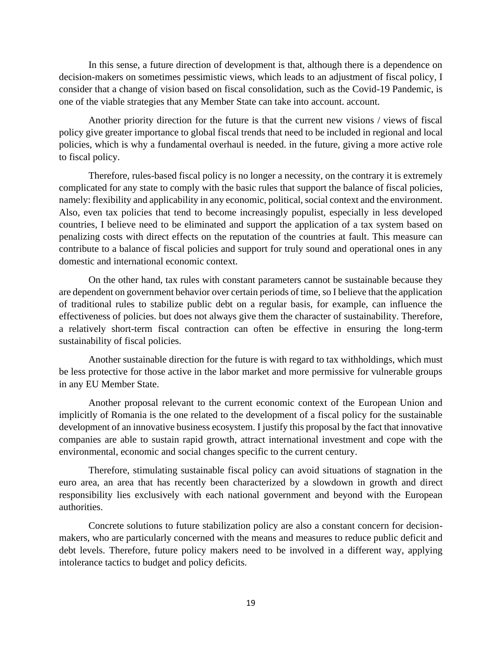In this sense, a future direction of development is that, although there is a dependence on decision-makers on sometimes pessimistic views, which leads to an adjustment of fiscal policy, I consider that a change of vision based on fiscal consolidation, such as the Covid-19 Pandemic, is one of the viable strategies that any Member State can take into account. account.

Another priority direction for the future is that the current new visions / views of fiscal policy give greater importance to global fiscal trends that need to be included in regional and local policies, which is why a fundamental overhaul is needed. in the future, giving a more active role to fiscal policy.

Therefore, rules-based fiscal policy is no longer a necessity, on the contrary it is extremely complicated for any state to comply with the basic rules that support the balance of fiscal policies, namely: flexibility and applicability in any economic, political, social context and the environment. Also, even tax policies that tend to become increasingly populist, especially in less developed countries, I believe need to be eliminated and support the application of a tax system based on penalizing costs with direct effects on the reputation of the countries at fault. This measure can contribute to a balance of fiscal policies and support for truly sound and operational ones in any domestic and international economic context.

On the other hand, tax rules with constant parameters cannot be sustainable because they are dependent on government behavior over certain periods of time, so I believe that the application of traditional rules to stabilize public debt on a regular basis, for example, can influence the effectiveness of policies. but does not always give them the character of sustainability. Therefore, a relatively short-term fiscal contraction can often be effective in ensuring the long-term sustainability of fiscal policies.

Another sustainable direction for the future is with regard to tax withholdings, which must be less protective for those active in the labor market and more permissive for vulnerable groups in any EU Member State.

Another proposal relevant to the current economic context of the European Union and implicitly of Romania is the one related to the development of a fiscal policy for the sustainable development of an innovative business ecosystem. I justify this proposal by the fact that innovative companies are able to sustain rapid growth, attract international investment and cope with the environmental, economic and social changes specific to the current century.

Therefore, stimulating sustainable fiscal policy can avoid situations of stagnation in the euro area, an area that has recently been characterized by a slowdown in growth and direct responsibility lies exclusively with each national government and beyond with the European authorities.

Concrete solutions to future stabilization policy are also a constant concern for decisionmakers, who are particularly concerned with the means and measures to reduce public deficit and debt levels. Therefore, future policy makers need to be involved in a different way, applying intolerance tactics to budget and policy deficits.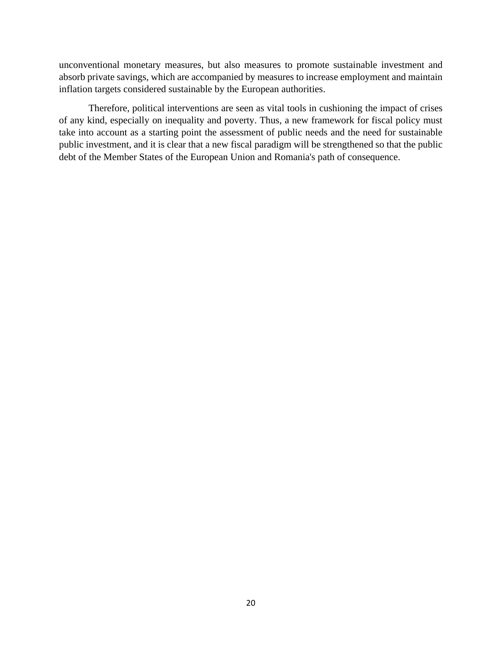unconventional monetary measures, but also measures to promote sustainable investment and absorb private savings, which are accompanied by measures to increase employment and maintain inflation targets considered sustainable by the European authorities.

Therefore, political interventions are seen as vital tools in cushioning the impact of crises of any kind, especially on inequality and poverty. Thus, a new framework for fiscal policy must take into account as a starting point the assessment of public needs and the need for sustainable public investment, and it is clear that a new fiscal paradigm will be strengthened so that the public debt of the Member States of the European Union and Romania's path of consequence.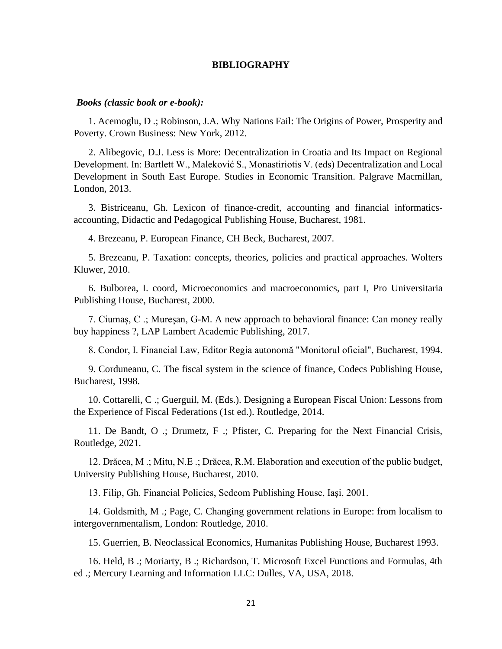#### **BIBLIOGRAPHY**

#### *Books (classic book or e-book):*

1. Acemoglu, D .; Robinson, J.A. Why Nations Fail: The Origins of Power, Prosperity and Poverty. Crown Business: New York, 2012.

2. Alibegovic, D.J. Less is More: Decentralization in Croatia and Its Impact on Regional Development. In: Bartlett W., Maleković S., Monastiriotis V. (eds) Decentralization and Local Development in South East Europe. Studies in Economic Transition. Palgrave Macmillan, London, 2013.

3. Bistriceanu, Gh. Lexicon of finance-credit, accounting and financial informaticsaccounting, Didactic and Pedagogical Publishing House, Bucharest, 1981.

4. Brezeanu, P. European Finance, CH Beck, Bucharest, 2007.

5. Brezeanu, P. Taxation: concepts, theories, policies and practical approaches. Wolters Kluwer, 2010.

6. Bulborea, I. coord, Microeconomics and macroeconomics, part I, Pro Universitaria Publishing House, Bucharest, 2000.

7. Ciumaș, C .; Mureșan, G-M. A new approach to behavioral finance: Can money really buy happiness ?, LAP Lambert Academic Publishing, 2017.

8. Condor, I. Financial Law, Editor Regia autonomă "Monitorul oficial", Bucharest, 1994.

9. Corduneanu, C. The fiscal system in the science of finance, Codecs Publishing House, Bucharest, 1998.

10. Cottarelli, C .; Guerguil, M. (Eds.). Designing a European Fiscal Union: Lessons from the Experience of Fiscal Federations (1st ed.). Routledge, 2014.

11. De Bandt, O .; Drumetz, F .; Pfister, C. Preparing for the Next Financial Crisis, Routledge, 2021.

12. Drăcea, M .; Mitu, N.E .; Drăcea, R.M. Elaboration and execution of the public budget, University Publishing House, Bucharest, 2010.

13. Filip, Gh. Financial Policies, Sedcom Publishing House, Iaşi, 2001.

14. Goldsmith, M .; Page, C. Changing government relations in Europe: from localism to intergovernmentalism, London: Routledge, 2010.

15. Guerrien, B. Neoclassical Economics, Humanitas Publishing House, Bucharest 1993.

16. Held, B .; Moriarty, B .; Richardson, T. Microsoft Excel Functions and Formulas, 4th ed .; Mercury Learning and Information LLC: Dulles, VA, USA, 2018.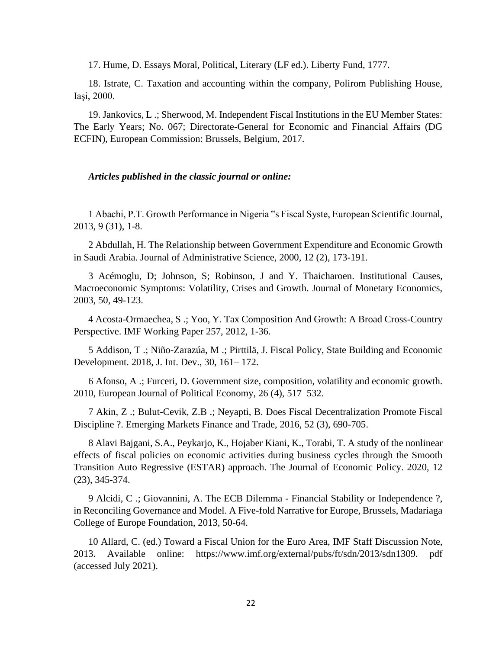17. Hume, D. Essays Moral, Political, Literary (LF ed.). Liberty Fund, 1777.

18. Istrate, C. Taxation and accounting within the company, Polirom Publishing House, Iaşi, 2000.

19. Jankovics, L .; Sherwood, M. Independent Fiscal Institutions in the EU Member States: The Early Years; No. 067; Directorate-General for Economic and Financial Affairs (DG ECFIN), European Commission: Brussels, Belgium, 2017.

#### *Articles published in the classic journal or online:*

1 Abachi, P.T. Growth Performance in Nigeria "s Fiscal Syste, European Scientific Journal, 2013, 9 (31), 1-8.

2 Abdullah, H. The Relationship between Government Expenditure and Economic Growth in Saudi Arabia. Journal of Administrative Science, 2000, 12 (2), 173-191.

3 Acémoglu, D; Johnson, S; Robinson, J and Y. Thaicharoen. Institutional Causes, Macroeconomic Symptoms: Volatility, Crises and Growth. Journal of Monetary Economics, 2003, 50, 49-123.

4 Acosta-Ormaechea, S .; Yoo, Y. Tax Composition And Growth: A Broad Cross-Country Perspective. IMF Working Paper 257, 2012, 1-36.

5 Addison, T .; Niño-Zarazúa, M .; Pirttilä, J. Fiscal Policy, State Building and Economic Development. 2018, J. Int. Dev., 30, 161– 172.

6 Afonso, A .; Furceri, D. Government size, composition, volatility and economic growth. 2010, European Journal of Political Economy, 26 (4), 517–532.

7 Akin, Z .; Bulut-Cevik, Z.B .; Neyapti, B. Does Fiscal Decentralization Promote Fiscal Discipline ?. Emerging Markets Finance and Trade, 2016, 52 (3), 690-705.

8 Alavi Bajgani, S.A., Peykarjo, K., Hojaber Kiani, K., Torabi, T. A study of the nonlinear effects of fiscal policies on economic activities during business cycles through the Smooth Transition Auto Regressive (ESTAR) approach. The Journal of Economic Policy. 2020, 12 (23), 345-374.

9 Alcidi, C .; Giovannini, A. The ECB Dilemma - Financial Stability or Independence ?, in Reconciling Governance and Model. A Five-fold Narrative for Europe, Brussels, Madariaga College of Europe Foundation, 2013, 50-64.

10 Allard, C. (ed.) Toward a Fiscal Union for the Euro Area, IMF Staff Discussion Note, 2013. Available online: https://www.imf.org/external/pubs/ft/sdn/2013/sdn1309. pdf (accessed July 2021).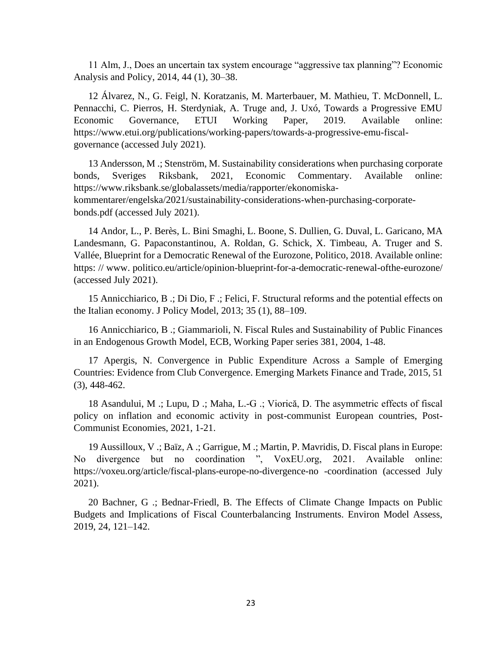11 Alm, J., Does an uncertain tax system encourage "aggressive tax planning"? Economic Analysis and Policy, 2014, 44 (1), 30–38.

12 Álvarez, N., G. Feigl, N. Koratzanis, M. Marterbauer, M. Mathieu, T. McDonnell, L. Pennacchi, C. Pierros, H. Sterdyniak, A. Truge and, J. Uxó, Towards a Progressive EMU Economic Governance, ETUI Working Paper, 2019. Available online: https://www.etui.org/publications/working-papers/towards-a-progressive-emu-fiscalgovernance (accessed July 2021).

13 Andersson, M .; Stenström, M. Sustainability considerations when purchasing corporate bonds, Sveriges Riksbank, 2021, Economic Commentary. Available online: https://www.riksbank.se/globalassets/media/rapporter/ekonomiskakommentarer/engelska/2021/sustainability-considerations-when-purchasing-corporatebonds.pdf (accessed July 2021).

14 Andor, L., P. Berès, L. Bini Smaghi, L. Boone, S. Dullien, G. Duval, L. Garicano, MA Landesmann, G. Papaconstantinou, A. Roldan, G. Schick, X. Timbeau, A. Truger and S. Vallée, Blueprint for a Democratic Renewal of the Eurozone, Politico, 2018. Available online: https: // www. politico.eu/article/opinion-blueprint-for-a-democratic-renewal-ofthe-eurozone/ (accessed July 2021).

15 Annicchiarico, B .; Di Dio, F .; Felici, F. Structural reforms and the potential effects on the Italian economy. J Policy Model, 2013; 35 (1), 88–109.

16 Annicchiarico, B .; Giammarioli, N. Fiscal Rules and Sustainability of Public Finances in an Endogenous Growth Model, ECB, Working Paper series 381, 2004, 1-48.

17 Apergis, N. Convergence in Public Expenditure Across a Sample of Emerging Countries: Evidence from Club Convergence. Emerging Markets Finance and Trade, 2015, 51 (3), 448-462.

18 Asandului, M .; Lupu, D .; Maha, L.-G .; Viorică, D. The asymmetric effects of fiscal policy on inflation and economic activity in post-communist European countries, Post-Communist Economies, 2021, 1-21.

19 Aussilloux, V .; Baïz, A .; Garrigue, M .; Martin, P. Mavridis, D. Fiscal plans in Europe: No divergence but no coordination ", VoxEU.org, 2021. Available online: https://voxeu.org/article/fiscal-plans-europe-no-divergence-no -coordination (accessed July 2021).

20 Bachner, G .; Bednar-Friedl, B. The Effects of Climate Change Impacts on Public Budgets and Implications of Fiscal Counterbalancing Instruments. Environ Model Assess, 2019, 24, 121–142.